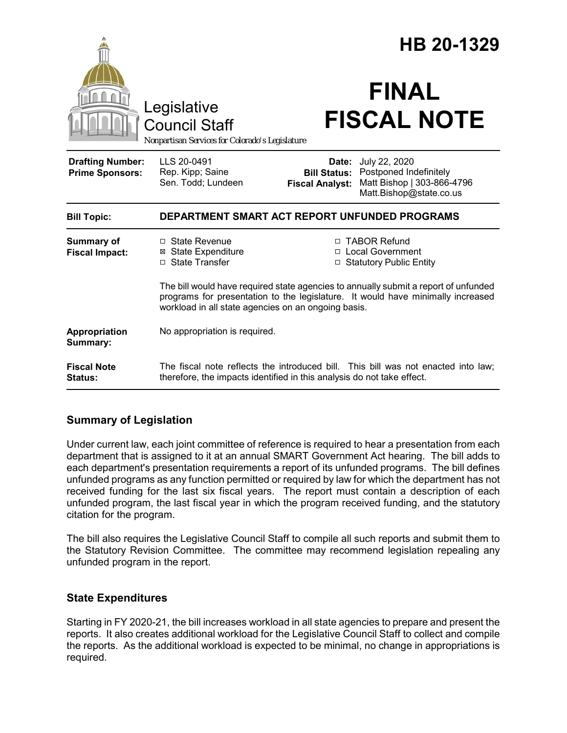|                                                   | Legislative<br><b>Council Staff</b>                                                                                                                                                                                           |                                                        | HB 20-1329<br><b>FINAL</b><br><b>FISCAL NOTE</b>                                                 |
|---------------------------------------------------|-------------------------------------------------------------------------------------------------------------------------------------------------------------------------------------------------------------------------------|--------------------------------------------------------|--------------------------------------------------------------------------------------------------|
|                                                   | Nonpartisan Services for Colorado's Legislature                                                                                                                                                                               |                                                        |                                                                                                  |
| <b>Drafting Number:</b><br><b>Prime Sponsors:</b> | LLS 20-0491<br>Rep. Kipp; Saine<br>Sen. Todd; Lundeen                                                                                                                                                                         | Date:<br><b>Bill Status:</b><br><b>Fiscal Analyst:</b> | July 22, 2020<br>Postponed Indefinitely<br>Matt Bishop   303-866-4796<br>Matt.Bishop@state.co.us |
| <b>Bill Topic:</b>                                | DEPARTMENT SMART ACT REPORT UNFUNDED PROGRAMS                                                                                                                                                                                 |                                                        |                                                                                                  |
| <b>Summary of</b><br><b>Fiscal Impact:</b>        | □ State Revenue<br><b>⊠</b> State Expenditure<br>□ State Transfer                                                                                                                                                             |                                                        | □ TABOR Refund<br>□ Local Government<br>□ Statutory Public Entity                                |
|                                                   | The bill would have required state agencies to annually submit a report of unfunded<br>programs for presentation to the legislature. It would have minimally increased<br>workload in all state agencies on an ongoing basis. |                                                        |                                                                                                  |
| <b>Appropriation</b><br>Summary:                  | No appropriation is required.                                                                                                                                                                                                 |                                                        |                                                                                                  |
| <b>Fiscal Note</b><br>Status:                     | therefore, the impacts identified in this analysis do not take effect.                                                                                                                                                        |                                                        | The fiscal note reflects the introduced bill. This bill was not enacted into law;                |

## **Summary of Legislation**

Under current law, each joint committee of reference is required to hear a presentation from each department that is assigned to it at an annual SMART Government Act hearing. The bill adds to each department's presentation requirements a report of its unfunded programs. The bill defines unfunded programs as any function permitted or required by law for which the department has not received funding for the last six fiscal years. The report must contain a description of each unfunded program, the last fiscal year in which the program received funding, and the statutory citation for the program.

The bill also requires the Legislative Council Staff to compile all such reports and submit them to the Statutory Revision Committee. The committee may recommend legislation repealing any unfunded program in the report.

## **State Expenditures**

Starting in FY 2020-21, the bill increases workload in all state agencies to prepare and present the reports. It also creates additional workload for the Legislative Council Staff to collect and compile the reports. As the additional workload is expected to be minimal, no change in appropriations is required.